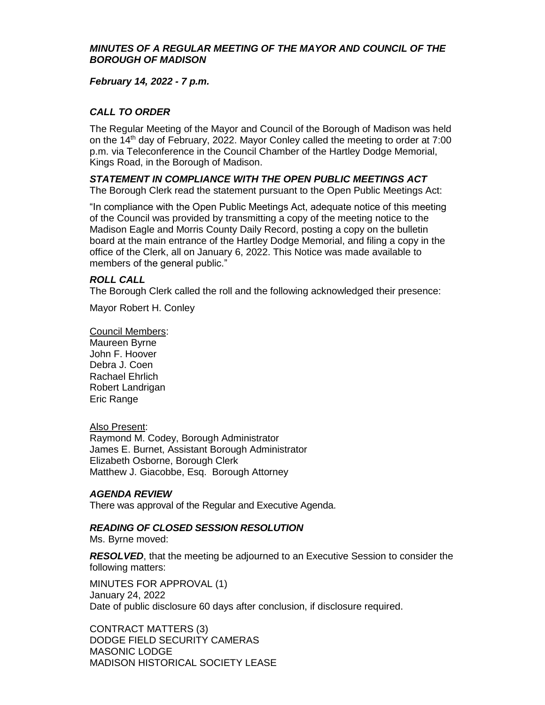#### *MINUTES OF A REGULAR MEETING OF THE MAYOR AND COUNCIL OF THE BOROUGH OF MADISON*

*February 14, 2022 - 7 p.m.*

# *CALL TO ORDER*

The Regular Meeting of the Mayor and Council of the Borough of Madison was held on the  $14<sup>th</sup>$  day of February, 2022. Mayor Conley called the meeting to order at  $7:00$ p.m. via Teleconference in the Council Chamber of the Hartley Dodge Memorial, Kings Road, in the Borough of Madison.

*STATEMENT IN COMPLIANCE WITH THE OPEN PUBLIC MEETINGS ACT* The Borough Clerk read the statement pursuant to the Open Public Meetings Act:

"In compliance with the Open Public Meetings Act, adequate notice of this meeting of the Council was provided by transmitting a copy of the meeting notice to the Madison Eagle and Morris County Daily Record, posting a copy on the bulletin board at the main entrance of the Hartley Dodge Memorial, and filing a copy in the office of the Clerk, all on January 6, 2022. This Notice was made available to members of the general public."

#### *ROLL CALL*

The Borough Clerk called the roll and the following acknowledged their presence:

Mayor Robert H. Conley

Council Members: Maureen Byrne John F. Hoover Debra J. Coen Rachael Ehrlich Robert Landrigan Eric Range

#### Also Present:

Raymond M. Codey, Borough Administrator James E. Burnet, Assistant Borough Administrator Elizabeth Osborne, Borough Clerk Matthew J. Giacobbe, Esq. Borough Attorney

#### *AGENDA REVIEW*

There was approval of the Regular and Executive Agenda.

## *READING OF CLOSED SESSION RESOLUTION*

Ms. Byrne moved:

*RESOLVED*, that the meeting be adjourned to an Executive Session to consider the following matters:

MINUTES FOR APPROVAL (1) January 24, 2022 Date of public disclosure 60 days after conclusion, if disclosure required.

CONTRACT MATTERS (3) DODGE FIELD SECURITY CAMERAS MASONIC LODGE MADISON HISTORICAL SOCIETY LEASE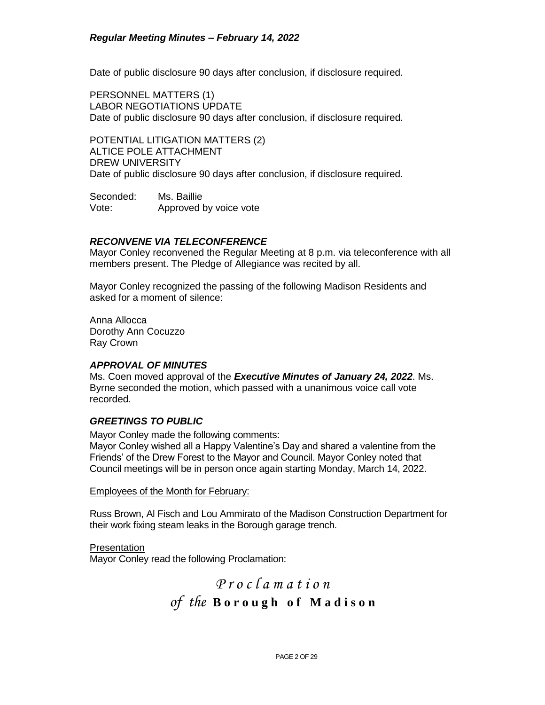Date of public disclosure 90 days after conclusion, if disclosure required.

PERSONNEL MATTERS (1) LABOR NEGOTIATIONS UPDATE Date of public disclosure 90 days after conclusion, if disclosure required.

POTENTIAL LITIGATION MATTERS (2) ALTICE POLE ATTACHMENT DREW UNIVERSITY Date of public disclosure 90 days after conclusion, if disclosure required.

Seconded: Ms. Baillie Vote: Approved by voice vote

#### *RECONVENE VIA TELECONFERENCE*

Mayor Conley reconvened the Regular Meeting at 8 p.m. via teleconference with all members present. The Pledge of Allegiance was recited by all.

Mayor Conley recognized the passing of the following Madison Residents and asked for a moment of silence:

Anna Allocca Dorothy Ann Cocuzzo Ray Crown

#### *APPROVAL OF MINUTES*

Ms. Coen moved approval of the *Executive Minutes of January 24, 2022*. Ms. Byrne seconded the motion, which passed with a unanimous voice call vote recorded.

## *GREETINGS TO PUBLIC*

Mayor Conley made the following comments:

Mayor Conley wished all a Happy Valentine's Day and shared a valentine from the Friends' of the Drew Forest to the Mayor and Council. Mayor Conley noted that Council meetings will be in person once again starting Monday, March 14, 2022.

Employees of the Month for February:

Russ Brown, Al Fisch and Lou Ammirato of the Madison Construction Department for their work fixing steam leaks in the Borough garage trench.

**Presentation** Mayor Conley read the following Proclamation:

# *P r o c l a m a t i o n of the* **B o r o u g h o f M a d i s o n**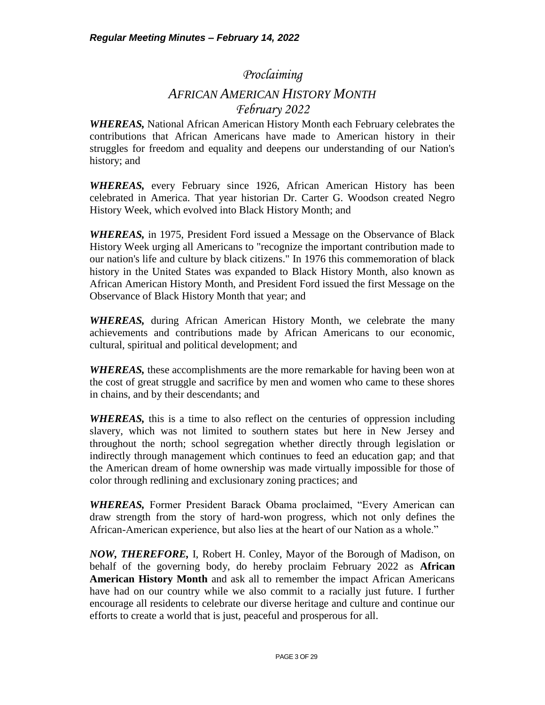# *Proclaiming AFRICAN AMERICAN HISTORY MONTH February 2022*

*WHEREAS,* National African American History Month each February celebrates the contributions that African Americans have made to American history in their struggles for freedom and equality and deepens our understanding of our Nation's history; and

*WHEREAS,* every February since 1926, African American History has been celebrated in America. That year historian Dr. Carter G. Woodson created Negro History Week, which evolved into Black History Month; and

*WHEREAS,* in 1975, President Ford issued a Message on the Observance of Black History Week urging all Americans to "recognize the important contribution made to our nation's life and culture by black citizens." In 1976 this commemoration of black history in the United States was expanded to Black History Month, also known as African American History Month, and President Ford issued the first Message on the Observance of Black History Month that year; and

*WHEREAS,* during African American History Month, we celebrate the many achievements and contributions made by African Americans to our economic, cultural, spiritual and political development; and

*WHEREAS,* these accomplishments are the more remarkable for having been won at the cost of great struggle and sacrifice by men and women who came to these shores in chains, and by their descendants; and

*WHEREAS,* this is a time to also reflect on the centuries of oppression including slavery, which was not limited to southern states but here in New Jersey and throughout the north; school segregation whether directly through legislation or indirectly through management which continues to feed an education gap; and that the American dream of home ownership was made virtually impossible for those of color through redlining and exclusionary zoning practices; and

*WHEREAS,* Former President Barack Obama proclaimed, "Every American can draw strength from the story of hard-won progress, which not only defines the African-American experience, but also lies at the heart of our Nation as a whole."

*NOW, THEREFORE,* I, Robert H. Conley, Mayor of the Borough of Madison, on behalf of the governing body, do hereby proclaim February 2022 as **African American History Month** and ask all to remember the impact African Americans have had on our country while we also commit to a racially just future. I further encourage all residents to celebrate our diverse heritage and culture and continue our efforts to create a world that is just, peaceful and prosperous for all.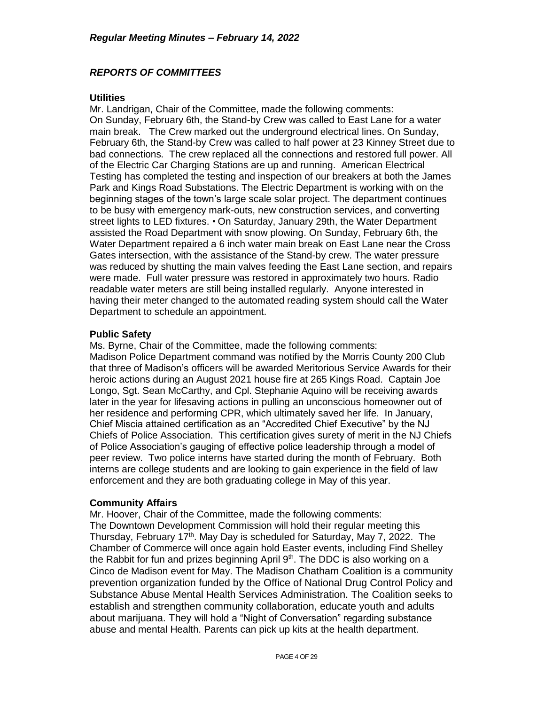## *REPORTS OF COMMITTEES*

#### **Utilities**

Mr. Landrigan, Chair of the Committee, made the following comments: On Sunday, February 6th, the Stand-by Crew was called to East Lane for a water main break. The Crew marked out the underground electrical lines. On Sunday, February 6th, the Stand-by Crew was called to half power at 23 Kinney Street due to bad connections. The crew replaced all the connections and restored full power. All of the Electric Car Charging Stations are up and running. American Electrical Testing has completed the testing and inspection of our breakers at both the James Park and Kings Road Substations. The Electric Department is working with on the beginning stages of the town's large scale solar project. The department continues to be busy with emergency mark-outs, new construction services, and converting street lights to LED fixtures. • On Saturday, January 29th, the Water Department assisted the Road Department with snow plowing. On Sunday, February 6th, the Water Department repaired a 6 inch water main break on East Lane near the Cross Gates intersection, with the assistance of the Stand-by crew. The water pressure was reduced by shutting the main valves feeding the East Lane section, and repairs were made. Full water pressure was restored in approximately two hours. Radio readable water meters are still being installed regularly. Anyone interested in having their meter changed to the automated reading system should call the Water Department to schedule an appointment.

#### **Public Safety**

Ms. Byrne, Chair of the Committee, made the following comments: Madison Police Department command was notified by the Morris County 200 Club that three of Madison's officers will be awarded Meritorious Service Awards for their heroic actions during an August 2021 house fire at 265 Kings Road. Captain Joe Longo, Sgt. Sean McCarthy, and Cpl. Stephanie Aquino will be receiving awards later in the year for lifesaving actions in pulling an unconscious homeowner out of her residence and performing CPR, which ultimately saved her life. In January, Chief Miscia attained certification as an "Accredited Chief Executive" by the NJ Chiefs of Police Association. This certification gives surety of merit in the NJ Chiefs of Police Association's gauging of effective police leadership through a model of peer review. Two police interns have started during the month of February. Both interns are college students and are looking to gain experience in the field of law enforcement and they are both graduating college in May of this year.

#### **Community Affairs**

Mr. Hoover, Chair of the Committee, made the following comments: The Downtown Development Commission will hold their regular meeting this Thursday, February 17<sup>th</sup>. May Day is scheduled for Saturday, May 7, 2022. The Chamber of Commerce will once again hold Easter events, including Find Shelley the Rabbit for fun and prizes beginning April  $9<sup>th</sup>$ . The DDC is also working on a Cinco de Madison event for May. The Madison Chatham Coalition is a community prevention organization funded by the Office of National Drug Control Policy and Substance Abuse Mental Health Services Administration. The Coalition seeks to establish and strengthen community collaboration, educate youth and adults about marijuana. They will hold a "Night of Conversation" regarding substance abuse and mental Health. Parents can pick up kits at the health department.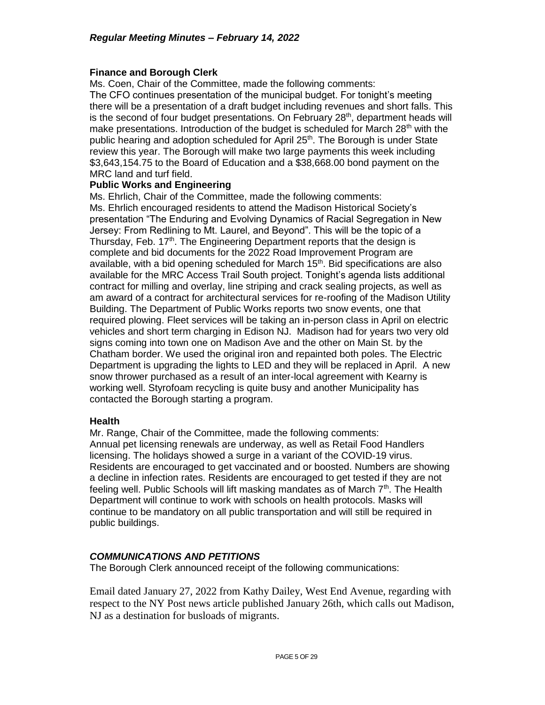## **Finance and Borough Clerk**

Ms. Coen, Chair of the Committee, made the following comments:

The CFO continues presentation of the municipal budget. For tonight's meeting there will be a presentation of a draft budget including revenues and short falls. This is the second of four budget presentations. On February 28<sup>th</sup>, department heads will make presentations. Introduction of the budget is scheduled for March  $28<sup>th</sup>$  with the public hearing and adoption scheduled for April 25<sup>th</sup>. The Borough is under State review this year. The Borough will make two large payments this week including \$3,643,154.75 to the Board of Education and a \$38,668.00 bond payment on the MRC land and turf field.

#### **Public Works and Engineering**

Ms. Ehrlich, Chair of the Committee, made the following comments: Ms. Ehrlich encouraged residents to attend the Madison Historical Society's presentation "The Enduring and Evolving Dynamics of Racial Segregation in New Jersey: From Redlining to Mt. Laurel, and Beyond". This will be the topic of a Thursday, Feb. 17<sup>th</sup>. The Engineering Department reports that the design is complete and bid documents for the 2022 Road Improvement Program are available, with a bid opening scheduled for March  $15<sup>th</sup>$ . Bid specifications are also available for the MRC Access Trail South project. Tonight's agenda lists additional contract for milling and overlay, line striping and crack sealing projects, as well as am award of a contract for architectural services for re-roofing of the Madison Utility Building. The Department of Public Works reports two snow events, one that required plowing. Fleet services will be taking an in-person class in April on electric vehicles and short term charging in Edison NJ. Madison had for years two very old signs coming into town one on Madison Ave and the other on Main St. by the Chatham border. We used the original iron and repainted both poles. The Electric Department is upgrading the lights to LED and they will be replaced in April. A new snow thrower purchased as a result of an inter-local agreement with Kearny is working well. Styrofoam recycling is quite busy and another Municipality has contacted the Borough starting a program.

## **Health**

Mr. Range, Chair of the Committee, made the following comments: Annual pet licensing renewals are underway, as well as Retail Food Handlers licensing. The holidays showed a surge in a variant of the COVID-19 virus. Residents are encouraged to get vaccinated and or boosted. Numbers are showing a decline in infection rates. Residents are encouraged to get tested if they are not feeling well. Public Schools will lift masking mandates as of March 7<sup>th</sup>. The Health Department will continue to work with schools on health protocols. Masks will continue to be mandatory on all public transportation and will still be required in public buildings.

## *COMMUNICATIONS AND PETITIONS*

The Borough Clerk announced receipt of the following communications:

Email dated January 27, 2022 from Kathy Dailey, West End Avenue, regarding with respect to the NY Post news article published January 26th, which calls out Madison, NJ as a destination for busloads of migrants.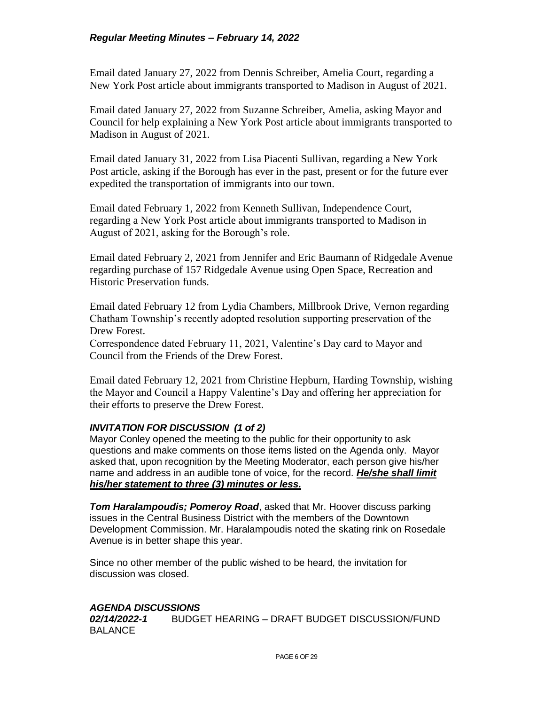## *Regular Meeting Minutes – February 14, 2022*

Email dated January 27, 2022 from Dennis Schreiber, Amelia Court, regarding a New York Post article about immigrants transported to Madison in August of 2021.

Email dated January 27, 2022 from Suzanne Schreiber, Amelia, asking Mayor and Council for help explaining a New York Post article about immigrants transported to Madison in August of 2021.

Email dated January 31, 2022 from Lisa Piacenti Sullivan, regarding a New York Post article, asking if the Borough has ever in the past, present or for the future ever expedited the transportation of immigrants into our town.

Email dated February 1, 2022 from Kenneth Sullivan, Independence Court, regarding a New York Post article about immigrants transported to Madison in August of 2021, asking for the Borough's role.

Email dated February 2, 2021 from Jennifer and Eric Baumann of Ridgedale Avenue regarding purchase of 157 Ridgedale Avenue using Open Space, Recreation and Historic Preservation funds.

Email dated February 12 from Lydia Chambers, Millbrook Drive, Vernon regarding Chatham Township's recently adopted resolution supporting preservation of the Drew Forest.

Correspondence dated February 11, 2021, Valentine's Day card to Mayor and Council from the Friends of the Drew Forest.

Email dated February 12, 2021 from Christine Hepburn, Harding Township, wishing the Mayor and Council a Happy Valentine's Day and offering her appreciation for their efforts to preserve the Drew Forest.

## *INVITATION FOR DISCUSSION (1 of 2)*

Mayor Conley opened the meeting to the public for their opportunity to ask questions and make comments on those items listed on the Agenda only. Mayor asked that, upon recognition by the Meeting Moderator, each person give his/her name and address in an audible tone of voice, for the record. *He/she shall limit his/her statement to three (3) minutes or less.*

*Tom Haralampoudis; Pomeroy Road*, asked that Mr. Hoover discuss parking issues in the Central Business District with the members of the Downtown Development Commission. Mr. Haralampoudis noted the skating rink on Rosedale Avenue is in better shape this year.

Since no other member of the public wished to be heard, the invitation for discussion was closed.

## *AGENDA DISCUSSIONS*

*02/14/2022-1*BUDGET HEARING – DRAFT BUDGET DISCUSSION/FUND BALANCE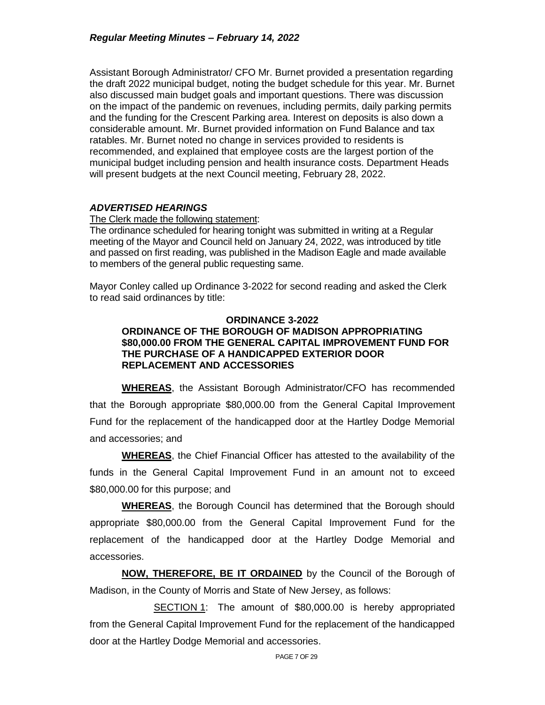Assistant Borough Administrator/ CFO Mr. Burnet provided a presentation regarding the draft 2022 municipal budget, noting the budget schedule for this year. Mr. Burnet also discussed main budget goals and important questions. There was discussion on the impact of the pandemic on revenues, including permits, daily parking permits and the funding for the Crescent Parking area. Interest on deposits is also down a considerable amount. Mr. Burnet provided information on Fund Balance and tax ratables. Mr. Burnet noted no change in services provided to residents is recommended, and explained that employee costs are the largest portion of the municipal budget including pension and health insurance costs. Department Heads will present budgets at the next Council meeting, February 28, 2022.

#### *ADVERTISED HEARINGS*

The Clerk made the following statement:

The ordinance scheduled for hearing tonight was submitted in writing at a Regular meeting of the Mayor and Council held on January 24, 2022, was introduced by title and passed on first reading, was published in the Madison Eagle and made available to members of the general public requesting same.

Mayor Conley called up Ordinance 3-2022 for second reading and asked the Clerk to read said ordinances by title:

#### **ORDINANCE 3-2022 ORDINANCE OF THE BOROUGH OF MADISON APPROPRIATING \$80,000.00 FROM THE GENERAL CAPITAL IMPROVEMENT FUND FOR THE PURCHASE OF A HANDICAPPED EXTERIOR DOOR REPLACEMENT AND ACCESSORIES**

**WHEREAS**, the Assistant Borough Administrator/CFO has recommended that the Borough appropriate \$80,000.00 from the General Capital Improvement Fund for the replacement of the handicapped door at the Hartley Dodge Memorial and accessories; and

**WHEREAS**, the Chief Financial Officer has attested to the availability of the funds in the General Capital Improvement Fund in an amount not to exceed \$80,000.00 for this purpose; and

**WHEREAS**, the Borough Council has determined that the Borough should appropriate \$80,000.00 from the General Capital Improvement Fund for the replacement of the handicapped door at the Hartley Dodge Memorial and accessories.

**NOW, THEREFORE, BE IT ORDAINED** by the Council of the Borough of Madison, in the County of Morris and State of New Jersey, as follows:

SECTION 1: The amount of \$80,000.00 is hereby appropriated from the General Capital Improvement Fund for the replacement of the handicapped door at the Hartley Dodge Memorial and accessories.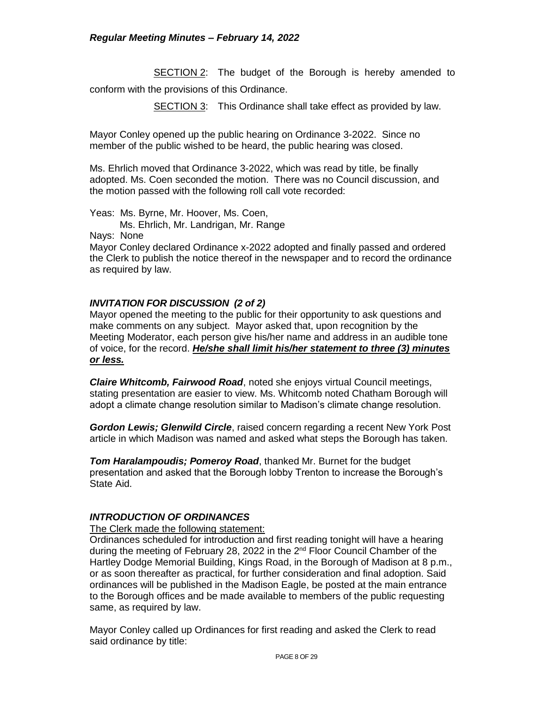**SECTION 2:** The budget of the Borough is hereby amended to conform with the provisions of this Ordinance.

SECTION 3: This Ordinance shall take effect as provided by law.

Mayor Conley opened up the public hearing on Ordinance 3-2022. Since no member of the public wished to be heard, the public hearing was closed.

Ms. Ehrlich moved that Ordinance 3-2022, which was read by title, be finally adopted. Ms. Coen seconded the motion. There was no Council discussion, and the motion passed with the following roll call vote recorded:

Yeas: Ms. Byrne, Mr. Hoover, Ms. Coen,

Ms. Ehrlich, Mr. Landrigan, Mr. Range

Nays: None

Mayor Conley declared Ordinance x-2022 adopted and finally passed and ordered the Clerk to publish the notice thereof in the newspaper and to record the ordinance as required by law.

#### *INVITATION FOR DISCUSSION (2 of 2)*

Mayor opened the meeting to the public for their opportunity to ask questions and make comments on any subject. Mayor asked that, upon recognition by the Meeting Moderator, each person give his/her name and address in an audible tone of voice, for the record. *He/she shall limit his/her statement to three (3) minutes or less.*

*Claire Whitcomb, Fairwood Road*, noted she enjoys virtual Council meetings, stating presentation are easier to view. Ms. Whitcomb noted Chatham Borough will adopt a climate change resolution similar to Madison's climate change resolution.

*Gordon Lewis; Glenwild Circle*, raised concern regarding a recent New York Post article in which Madison was named and asked what steps the Borough has taken.

*Tom Haralampoudis; Pomeroy Road*, thanked Mr. Burnet for the budget presentation and asked that the Borough lobby Trenton to increase the Borough's State Aid.

#### *INTRODUCTION OF ORDINANCES*

#### The Clerk made the following statement:

Ordinances scheduled for introduction and first reading tonight will have a hearing during the meeting of February 28, 2022 in the 2<sup>nd</sup> Floor Council Chamber of the Hartley Dodge Memorial Building, Kings Road, in the Borough of Madison at 8 p.m., or as soon thereafter as practical, for further consideration and final adoption. Said ordinances will be published in the Madison Eagle, be posted at the main entrance to the Borough offices and be made available to members of the public requesting same, as required by law.

Mayor Conley called up Ordinances for first reading and asked the Clerk to read said ordinance by title: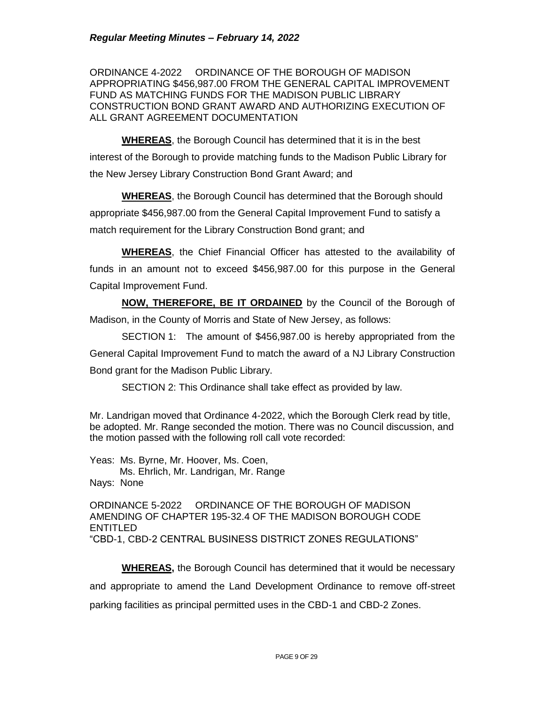ORDINANCE 4-2022 ORDINANCE OF THE BOROUGH OF MADISON APPROPRIATING \$456,987.00 FROM THE GENERAL CAPITAL IMPROVEMENT FUND AS MATCHING FUNDS FOR THE MADISON PUBLIC LIBRARY CONSTRUCTION BOND GRANT AWARD AND AUTHORIZING EXECUTION OF ALL GRANT AGREEMENT DOCUMENTATION

**WHEREAS**, the Borough Council has determined that it is in the best interest of the Borough to provide matching funds to the Madison Public Library for the New Jersey Library Construction Bond Grant Award; and

**WHEREAS**, the Borough Council has determined that the Borough should appropriate \$456,987.00 from the General Capital Improvement Fund to satisfy a match requirement for the Library Construction Bond grant; and

**WHEREAS**, the Chief Financial Officer has attested to the availability of funds in an amount not to exceed \$456,987.00 for this purpose in the General Capital Improvement Fund.

**NOW, THEREFORE, BE IT ORDAINED** by the Council of the Borough of Madison, in the County of Morris and State of New Jersey, as follows:

SECTION 1: The amount of \$456,987.00 is hereby appropriated from the General Capital Improvement Fund to match the award of a NJ Library Construction Bond grant for the Madison Public Library.

SECTION 2: This Ordinance shall take effect as provided by law.

Mr. Landrigan moved that Ordinance 4-2022, which the Borough Clerk read by title, be adopted. Mr. Range seconded the motion. There was no Council discussion, and the motion passed with the following roll call vote recorded:

Yeas: Ms. Byrne, Mr. Hoover, Ms. Coen, Ms. Ehrlich, Mr. Landrigan, Mr. Range Nays: None

ORDINANCE 5-2022 ORDINANCE OF THE BOROUGH OF MADISON AMENDING OF CHAPTER 195-32.4 OF THE MADISON BOROUGH CODE ENTITLED "CBD-1, CBD-2 CENTRAL BUSINESS DISTRICT ZONES REGULATIONS"

**WHEREAS,** the Borough Council has determined that it would be necessary and appropriate to amend the Land Development Ordinance to remove off-street parking facilities as principal permitted uses in the CBD-1 and CBD-2 Zones.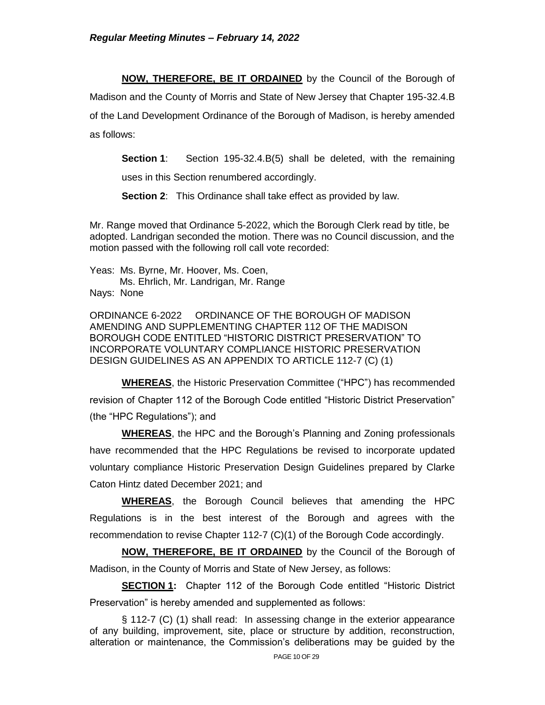**NOW, THEREFORE, BE IT ORDAINED** by the Council of the Borough of

Madison and the County of Morris and State of New Jersey that Chapter 195-32.4.B of the Land Development Ordinance of the Borough of Madison, is hereby amended as follows:

**Section 1**: Section 195-32.4.B(5) shall be deleted, with the remaining uses in this Section renumbered accordingly.

**Section 2**: This Ordinance shall take effect as provided by law.

Mr. Range moved that Ordinance 5-2022, which the Borough Clerk read by title, be adopted. Landrigan seconded the motion. There was no Council discussion, and the motion passed with the following roll call vote recorded:

Yeas: Ms. Byrne, Mr. Hoover, Ms. Coen, Ms. Ehrlich, Mr. Landrigan, Mr. Range Nays: None

ORDINANCE 6-2022 ORDINANCE OF THE BOROUGH OF MADISON AMENDING AND SUPPLEMENTING CHAPTER 112 OF THE MADISON BOROUGH CODE ENTITLED "HISTORIC DISTRICT PRESERVATION" TO INCORPORATE VOLUNTARY COMPLIANCE HISTORIC PRESERVATION DESIGN GUIDELINES AS AN APPENDIX TO ARTICLE 112-7 (C) (1)

**WHEREAS**, the Historic Preservation Committee ("HPC") has recommended revision of Chapter 112 of the Borough Code entitled "Historic District Preservation" (the "HPC Regulations"); and

**WHEREAS**, the HPC and the Borough's Planning and Zoning professionals have recommended that the HPC Regulations be revised to incorporate updated voluntary compliance Historic Preservation Design Guidelines prepared by Clarke Caton Hintz dated December 2021; and

**WHEREAS**, the Borough Council believes that amending the HPC Regulations is in the best interest of the Borough and agrees with the recommendation to revise Chapter 112-7 (C)(1) of the Borough Code accordingly.

**NOW, THEREFORE, BE IT ORDAINED** by the Council of the Borough of Madison, in the County of Morris and State of New Jersey, as follows:

**SECTION 1:** Chapter 112 of the Borough Code entitled "Historic District" Preservation" is hereby amended and supplemented as follows:

§ 112-7 (C) (1) shall read: In assessing change in the exterior appearance of any building, improvement, site, place or structure by addition, reconstruction, alteration or maintenance, the Commission's deliberations may be guided by the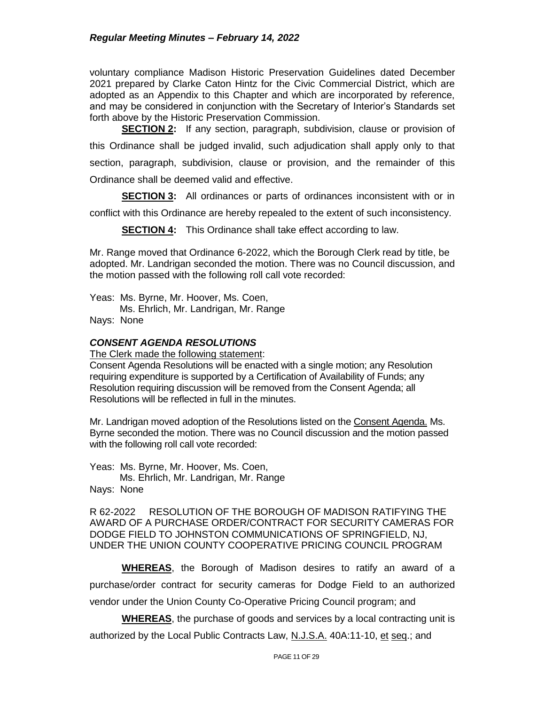voluntary compliance Madison Historic Preservation Guidelines dated December 2021 prepared by Clarke Caton Hintz for the Civic Commercial District, which are adopted as an Appendix to this Chapter and which are incorporated by reference, and may be considered in conjunction with the Secretary of Interior's Standards set forth above by the Historic Preservation Commission.

**SECTION 2:** If any section, paragraph, subdivision, clause or provision of this Ordinance shall be judged invalid, such adjudication shall apply only to that section, paragraph, subdivision, clause or provision, and the remainder of this Ordinance shall be deemed valid and effective.

**SECTION 3:** All ordinances or parts of ordinances inconsistent with or in

conflict with this Ordinance are hereby repealed to the extent of such inconsistency.

**SECTION 4:** This Ordinance shall take effect according to law.

Mr. Range moved that Ordinance 6-2022, which the Borough Clerk read by title, be adopted. Mr. Landrigan seconded the motion. There was no Council discussion, and the motion passed with the following roll call vote recorded:

Yeas: Ms. Byrne, Mr. Hoover, Ms. Coen, Ms. Ehrlich, Mr. Landrigan, Mr. Range Nays: None

## *CONSENT AGENDA RESOLUTIONS*

The Clerk made the following statement:

Consent Agenda Resolutions will be enacted with a single motion; any Resolution requiring expenditure is supported by a Certification of Availability of Funds; any Resolution requiring discussion will be removed from the Consent Agenda; all Resolutions will be reflected in full in the minutes.

Mr. Landrigan moved adoption of the Resolutions listed on the Consent Agenda. Ms. Byrne seconded the motion. There was no Council discussion and the motion passed with the following roll call vote recorded:

Yeas: Ms. Byrne, Mr. Hoover, Ms. Coen, Ms. Ehrlich, Mr. Landrigan, Mr. Range Nays: None

R 62-2022 RESOLUTION OF THE BOROUGH OF MADISON RATIFYING THE AWARD OF A PURCHASE ORDER/CONTRACT FOR SECURITY CAMERAS FOR DODGE FIELD TO JOHNSTON COMMUNICATIONS OF SPRINGFIELD, NJ, UNDER THE UNION COUNTY COOPERATIVE PRICING COUNCIL PROGRAM

**WHEREAS**, the Borough of Madison desires to ratify an award of a purchase/order contract for security cameras for Dodge Field to an authorized vendor under the Union County Co-Operative Pricing Council program; and

**WHEREAS**, the purchase of goods and services by a local contracting unit is authorized by the Local Public Contracts Law, N.J.S.A. 40A:11-10, et seq.; and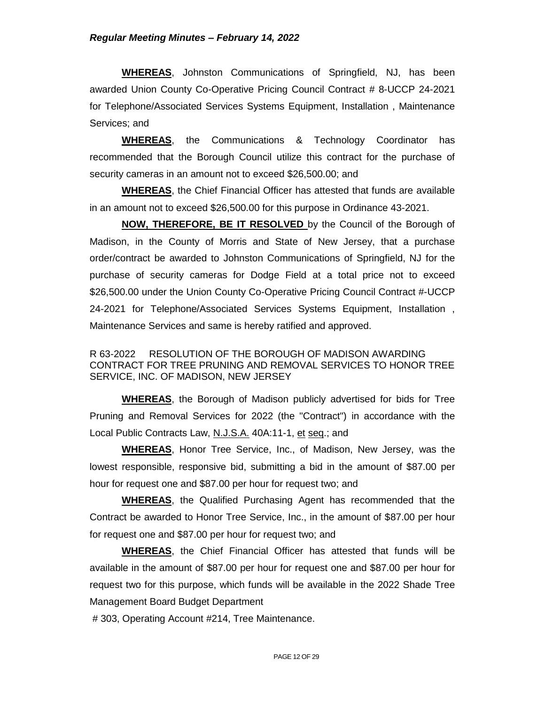**WHEREAS**, Johnston Communications of Springfield, NJ, has been awarded Union County Co-Operative Pricing Council Contract # 8-UCCP 24-2021 for Telephone/Associated Services Systems Equipment, Installation , Maintenance Services; and

**WHEREAS**, the Communications & Technology Coordinator has recommended that the Borough Council utilize this contract for the purchase of security cameras in an amount not to exceed \$26,500.00; and

**WHEREAS**, the Chief Financial Officer has attested that funds are available in an amount not to exceed \$26,500.00 for this purpose in Ordinance 43-2021.

**NOW, THEREFORE, BE IT RESOLVED** by the Council of the Borough of Madison, in the County of Morris and State of New Jersey, that a purchase order/contract be awarded to Johnston Communications of Springfield, NJ for the purchase of security cameras for Dodge Field at a total price not to exceed \$26,500.00 under the Union County Co-Operative Pricing Council Contract #-UCCP 24-2021 for Telephone/Associated Services Systems Equipment, Installation , Maintenance Services and same is hereby ratified and approved.

R 63-2022 RESOLUTION OF THE BOROUGH OF MADISON AWARDING CONTRACT FOR TREE PRUNING AND REMOVAL SERVICES TO HONOR TREE SERVICE, INC. OF MADISON, NEW JERSEY

**WHEREAS**, the Borough of Madison publicly advertised for bids for Tree Pruning and Removal Services for 2022 (the "Contract") in accordance with the Local Public Contracts Law, N.J.S.A. 40A:11-1, et seq.; and

**WHEREAS**, Honor Tree Service, Inc., of Madison, New Jersey, was the lowest responsible, responsive bid, submitting a bid in the amount of \$87.00 per hour for request one and \$87.00 per hour for request two; and

**WHEREAS**, the Qualified Purchasing Agent has recommended that the Contract be awarded to Honor Tree Service, Inc., in the amount of \$87.00 per hour for request one and \$87.00 per hour for request two; and

**WHEREAS**, the Chief Financial Officer has attested that funds will be available in the amount of \$87.00 per hour for request one and \$87.00 per hour for request two for this purpose, which funds will be available in the 2022 Shade Tree Management Board Budget Department

# 303, Operating Account #214, Tree Maintenance.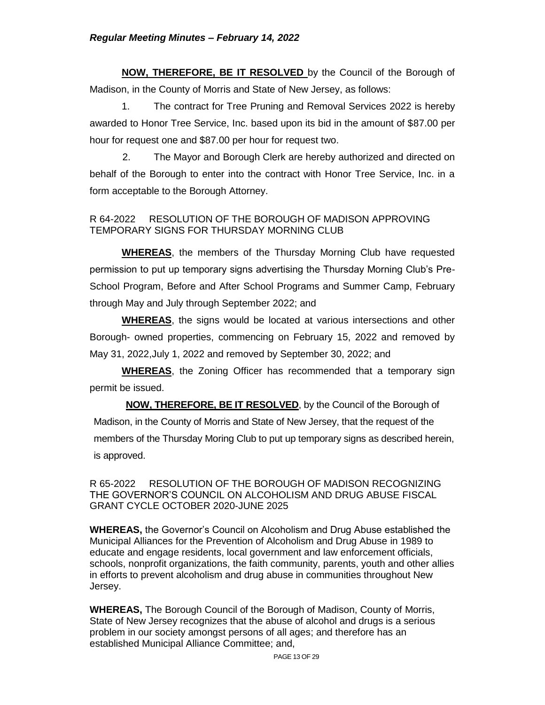**NOW, THEREFORE, BE IT RESOLVED** by the Council of the Borough of Madison, in the County of Morris and State of New Jersey, as follows:

1. The contract for Tree Pruning and Removal Services 2022 is hereby awarded to Honor Tree Service, Inc. based upon its bid in the amount of \$87.00 per hour for request one and \$87.00 per hour for request two.

 2. The Mayor and Borough Clerk are hereby authorized and directed on behalf of the Borough to enter into the contract with Honor Tree Service, Inc. in a form acceptable to the Borough Attorney.

# R 64-2022 RESOLUTION OF THE BOROUGH OF MADISON APPROVING TEMPORARY SIGNS FOR THURSDAY MORNING CLUB

**WHEREAS**, the members of the Thursday Morning Club have requested permission to put up temporary signs advertising the Thursday Morning Club's Pre-School Program, Before and After School Programs and Summer Camp, February through May and July through September 2022; and

**WHEREAS**, the signs would be located at various intersections and other Borough- owned properties, commencing on February 15, 2022 and removed by May 31, 2022,July 1, 2022 and removed by September 30, 2022; and

**WHEREAS**, the Zoning Officer has recommended that a temporary sign permit be issued.

**NOW, THEREFORE, BE IT RESOLVED**, by the Council of the Borough of Madison, in the County of Morris and State of New Jersey, that the request of the members of the Thursday Moring Club to put up temporary signs as described herein, is approved.

R 65-2022 RESOLUTION OF THE BOROUGH OF MADISON RECOGNIZING THE GOVERNOR'S COUNCIL ON ALCOHOLISM AND DRUG ABUSE FISCAL GRANT CYCLE OCTOBER 2020-JUNE 2025

**WHEREAS,** the Governor's Council on Alcoholism and Drug Abuse established the Municipal Alliances for the Prevention of Alcoholism and Drug Abuse in 1989 to educate and engage residents, local government and law enforcement officials, schools, nonprofit organizations, the faith community, parents, youth and other allies in efforts to prevent alcoholism and drug abuse in communities throughout New Jersey.

**WHEREAS,** The Borough Council of the Borough of Madison, County of Morris, State of New Jersey recognizes that the abuse of alcohol and drugs is a serious problem in our society amongst persons of all ages; and therefore has an established Municipal Alliance Committee; and,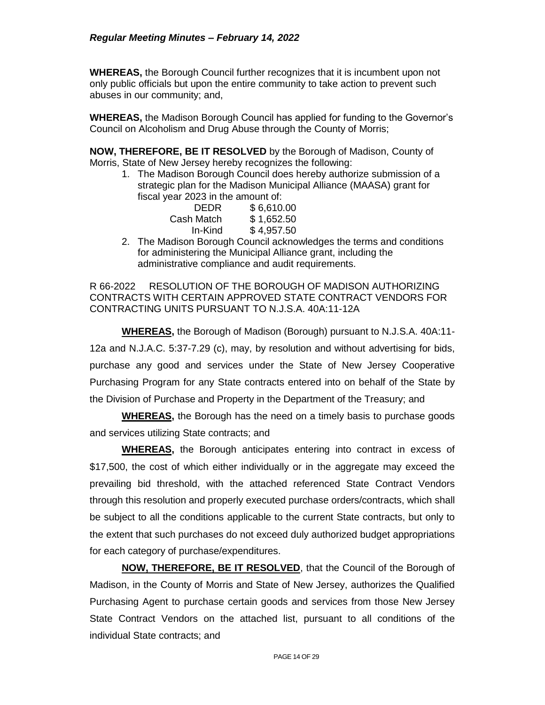**WHEREAS,** the Borough Council further recognizes that it is incumbent upon not only public officials but upon the entire community to take action to prevent such abuses in our community; and,

**WHEREAS,** the Madison Borough Council has applied for funding to the Governor's Council on Alcoholism and Drug Abuse through the County of Morris;

**NOW, THEREFORE, BE IT RESOLVED** by the Borough of Madison, County of Morris, State of New Jersey hereby recognizes the following:

1. The Madison Borough Council does hereby authorize submission of a strategic plan for the Madison Municipal Alliance (MAASA) grant for fiscal year 2023 in the amount of:

| <b>DEDR</b> | \$6,610.00 |
|-------------|------------|
| Cash Match  | \$1,652.50 |
| In-Kind     | \$4,957.50 |

2. The Madison Borough Council acknowledges the terms and conditions for administering the Municipal Alliance grant, including the administrative compliance and audit requirements.

R 66-2022 RESOLUTION OF THE BOROUGH OF MADISON AUTHORIZING CONTRACTS WITH CERTAIN APPROVED STATE CONTRACT VENDORS FOR CONTRACTING UNITS PURSUANT TO N.J.S.A. 40A:11-12A

**WHEREAS,** the Borough of Madison (Borough) pursuant to N.J.S.A. 40A:11- 12a and N.J.A.C. 5:37-7.29 (c), may, by resolution and without advertising for bids, purchase any good and services under the State of New Jersey Cooperative Purchasing Program for any State contracts entered into on behalf of the State by the Division of Purchase and Property in the Department of the Treasury; and

**WHEREAS,** the Borough has the need on a timely basis to purchase goods and services utilizing State contracts; and

**WHEREAS,** the Borough anticipates entering into contract in excess of \$17,500, the cost of which either individually or in the aggregate may exceed the prevailing bid threshold, with the attached referenced State Contract Vendors through this resolution and properly executed purchase orders/contracts, which shall be subject to all the conditions applicable to the current State contracts, but only to the extent that such purchases do not exceed duly authorized budget appropriations for each category of purchase/expenditures.

**NOW, THEREFORE, BE IT RESOLVED**, that the Council of the Borough of Madison, in the County of Morris and State of New Jersey, authorizes the Qualified Purchasing Agent to purchase certain goods and services from those New Jersey State Contract Vendors on the attached list, pursuant to all conditions of the individual State contracts; and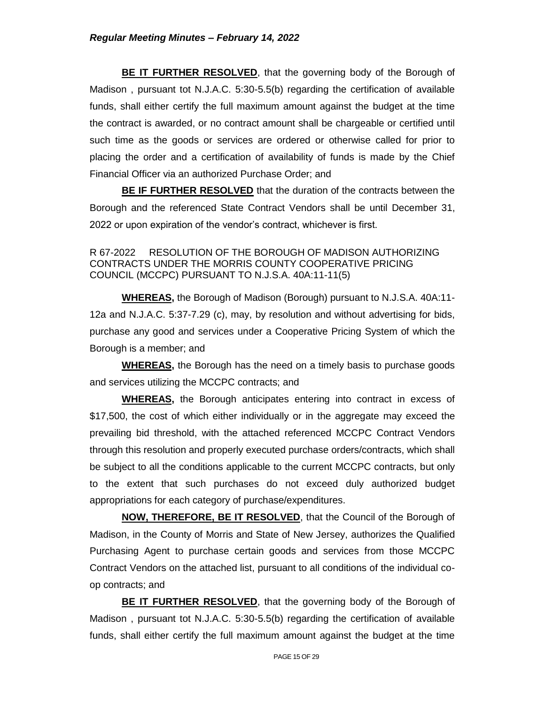**BE IT FURTHER RESOLVED**, that the governing body of the Borough of Madison , pursuant tot N.J.A.C. 5:30-5.5(b) regarding the certification of available funds, shall either certify the full maximum amount against the budget at the time the contract is awarded, or no contract amount shall be chargeable or certified until such time as the goods or services are ordered or otherwise called for prior to placing the order and a certification of availability of funds is made by the Chief Financial Officer via an authorized Purchase Order; and

**BE IF FURTHER RESOLVED** that the duration of the contracts between the Borough and the referenced State Contract Vendors shall be until December 31, 2022 or upon expiration of the vendor's contract, whichever is first.

R 67-2022 RESOLUTION OF THE BOROUGH OF MADISON AUTHORIZING CONTRACTS UNDER THE MORRIS COUNTY COOPERATIVE PRICING COUNCIL (MCCPC) PURSUANT TO N.J.S.A. 40A:11-11(5)

**WHEREAS,** the Borough of Madison (Borough) pursuant to N.J.S.A. 40A:11- 12a and N.J.A.C. 5:37-7.29 (c), may, by resolution and without advertising for bids, purchase any good and services under a Cooperative Pricing System of which the Borough is a member; and

**WHEREAS,** the Borough has the need on a timely basis to purchase goods and services utilizing the MCCPC contracts; and

**WHEREAS,** the Borough anticipates entering into contract in excess of \$17,500, the cost of which either individually or in the aggregate may exceed the prevailing bid threshold, with the attached referenced MCCPC Contract Vendors through this resolution and properly executed purchase orders/contracts, which shall be subject to all the conditions applicable to the current MCCPC contracts, but only to the extent that such purchases do not exceed duly authorized budget appropriations for each category of purchase/expenditures.

**NOW, THEREFORE, BE IT RESOLVED**, that the Council of the Borough of Madison, in the County of Morris and State of New Jersey, authorizes the Qualified Purchasing Agent to purchase certain goods and services from those MCCPC Contract Vendors on the attached list, pursuant to all conditions of the individual coop contracts; and

**BE IT FURTHER RESOLVED**, that the governing body of the Borough of Madison , pursuant tot N.J.A.C. 5:30-5.5(b) regarding the certification of available funds, shall either certify the full maximum amount against the budget at the time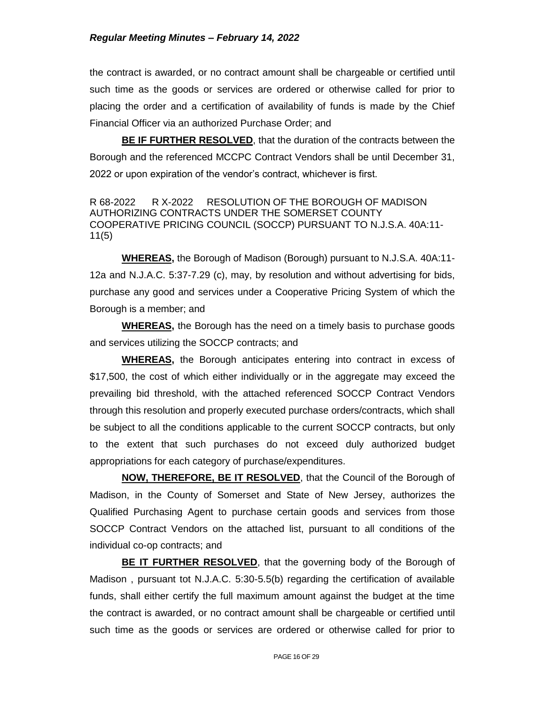#### *Regular Meeting Minutes – February 14, 2022*

the contract is awarded, or no contract amount shall be chargeable or certified until such time as the goods or services are ordered or otherwise called for prior to placing the order and a certification of availability of funds is made by the Chief Financial Officer via an authorized Purchase Order; and

**BE IF FURTHER RESOLVED**, that the duration of the contracts between the Borough and the referenced MCCPC Contract Vendors shall be until December 31, 2022 or upon expiration of the vendor's contract, whichever is first.

R 68-2022 R X-2022 RESOLUTION OF THE BOROUGH OF MADISON AUTHORIZING CONTRACTS UNDER THE SOMERSET COUNTY COOPERATIVE PRICING COUNCIL (SOCCP) PURSUANT TO N.J.S.A. 40A:11- 11(5)

**WHEREAS,** the Borough of Madison (Borough) pursuant to N.J.S.A. 40A:11- 12a and N.J.A.C. 5:37-7.29 (c), may, by resolution and without advertising for bids, purchase any good and services under a Cooperative Pricing System of which the Borough is a member; and

**WHEREAS,** the Borough has the need on a timely basis to purchase goods and services utilizing the SOCCP contracts; and

**WHEREAS,** the Borough anticipates entering into contract in excess of \$17,500, the cost of which either individually or in the aggregate may exceed the prevailing bid threshold, with the attached referenced SOCCP Contract Vendors through this resolution and properly executed purchase orders/contracts, which shall be subject to all the conditions applicable to the current SOCCP contracts, but only to the extent that such purchases do not exceed duly authorized budget appropriations for each category of purchase/expenditures.

**NOW, THEREFORE, BE IT RESOLVED**, that the Council of the Borough of Madison, in the County of Somerset and State of New Jersey, authorizes the Qualified Purchasing Agent to purchase certain goods and services from those SOCCP Contract Vendors on the attached list, pursuant to all conditions of the individual co-op contracts; and

**BE IT FURTHER RESOLVED**, that the governing body of the Borough of Madison , pursuant tot N.J.A.C. 5:30-5.5(b) regarding the certification of available funds, shall either certify the full maximum amount against the budget at the time the contract is awarded, or no contract amount shall be chargeable or certified until such time as the goods or services are ordered or otherwise called for prior to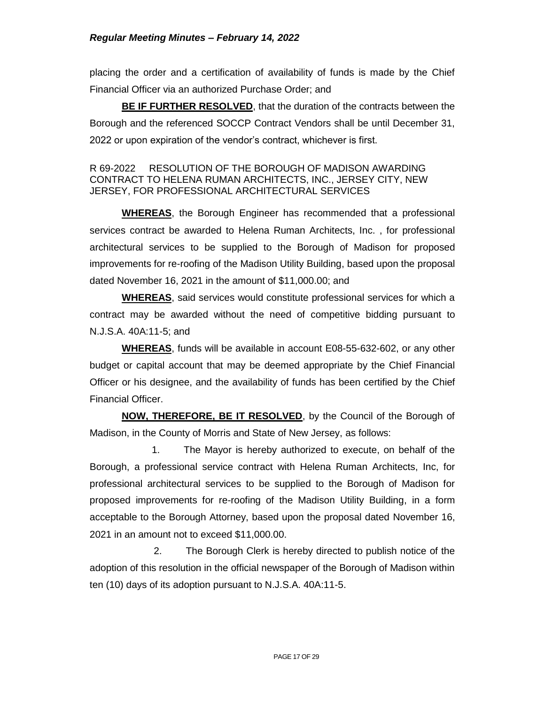placing the order and a certification of availability of funds is made by the Chief Financial Officer via an authorized Purchase Order; and

**BE IF FURTHER RESOLVED**, that the duration of the contracts between the Borough and the referenced SOCCP Contract Vendors shall be until December 31, 2022 or upon expiration of the vendor's contract, whichever is first.

## R 69-2022 RESOLUTION OF THE BOROUGH OF MADISON AWARDING CONTRACT TO HELENA RUMAN ARCHITECTS, INC., JERSEY CITY, NEW JERSEY, FOR PROFESSIONAL ARCHITECTURAL SERVICES

**WHEREAS**, the Borough Engineer has recommended that a professional services contract be awarded to Helena Ruman Architects, Inc. , for professional architectural services to be supplied to the Borough of Madison for proposed improvements for re-roofing of the Madison Utility Building, based upon the proposal dated November 16, 2021 in the amount of \$11,000.00; and

**WHEREAS**, said services would constitute professional services for which a contract may be awarded without the need of competitive bidding pursuant to N.J.S.A. 40A:11-5; and

**WHEREAS**, funds will be available in account E08-55-632-602, or any other budget or capital account that may be deemed appropriate by the Chief Financial Officer or his designee, and the availability of funds has been certified by the Chief Financial Officer.

**NOW, THEREFORE, BE IT RESOLVED**, by the Council of the Borough of Madison, in the County of Morris and State of New Jersey, as follows:

 1. The Mayor is hereby authorized to execute, on behalf of the Borough, a professional service contract with Helena Ruman Architects, Inc, for professional architectural services to be supplied to the Borough of Madison for proposed improvements for re-roofing of the Madison Utility Building, in a form acceptable to the Borough Attorney, based upon the proposal dated November 16, 2021 in an amount not to exceed \$11,000.00.

2. The Borough Clerk is hereby directed to publish notice of the adoption of this resolution in the official newspaper of the Borough of Madison within ten (10) days of its adoption pursuant to N.J.S.A. 40A:11-5.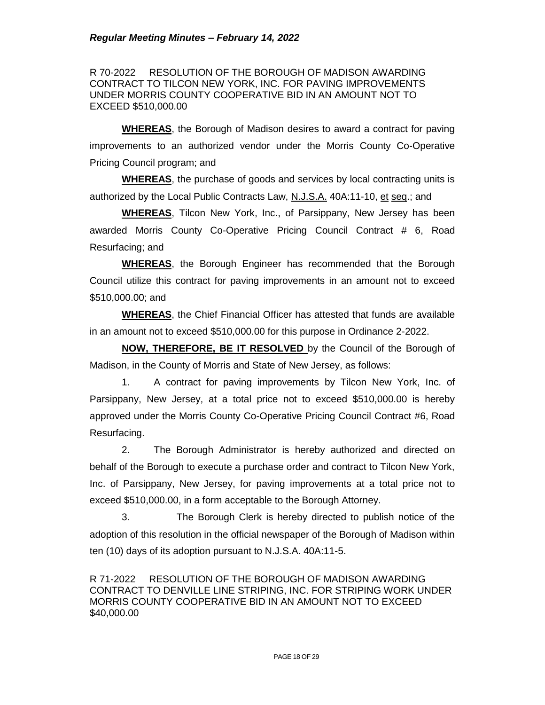R 70-2022 RESOLUTION OF THE BOROUGH OF MADISON AWARDING CONTRACT TO TILCON NEW YORK, INC. FOR PAVING IMPROVEMENTS UNDER MORRIS COUNTY COOPERATIVE BID IN AN AMOUNT NOT TO EXCEED \$510,000.00

**WHEREAS**, the Borough of Madison desires to award a contract for paving improvements to an authorized vendor under the Morris County Co-Operative Pricing Council program; and

**WHEREAS**, the purchase of goods and services by local contracting units is authorized by the Local Public Contracts Law, N.J.S.A. 40A:11-10, et seq.; and

**WHEREAS**, Tilcon New York, Inc., of Parsippany, New Jersey has been awarded Morris County Co-Operative Pricing Council Contract # 6, Road Resurfacing; and

**WHEREAS**, the Borough Engineer has recommended that the Borough Council utilize this contract for paving improvements in an amount not to exceed \$510,000.00; and

**WHEREAS**, the Chief Financial Officer has attested that funds are available in an amount not to exceed \$510,000.00 for this purpose in Ordinance 2-2022.

**NOW, THEREFORE, BE IT RESOLVED** by the Council of the Borough of Madison, in the County of Morris and State of New Jersey, as follows:

1. A contract for paving improvements by Tilcon New York, Inc. of Parsippany, New Jersey, at a total price not to exceed \$510,000.00 is hereby approved under the Morris County Co-Operative Pricing Council Contract #6, Road Resurfacing.

2. The Borough Administrator is hereby authorized and directed on behalf of the Borough to execute a purchase order and contract to Tilcon New York, Inc. of Parsippany, New Jersey, for paving improvements at a total price not to exceed \$510,000.00, in a form acceptable to the Borough Attorney.

3. The Borough Clerk is hereby directed to publish notice of the adoption of this resolution in the official newspaper of the Borough of Madison within ten (10) days of its adoption pursuant to N.J.S.A. 40A:11-5.

R 71-2022 RESOLUTION OF THE BOROUGH OF MADISON AWARDING CONTRACT TO DENVILLE LINE STRIPING, INC. FOR STRIPING WORK UNDER MORRIS COUNTY COOPERATIVE BID IN AN AMOUNT NOT TO EXCEED \$40,000.00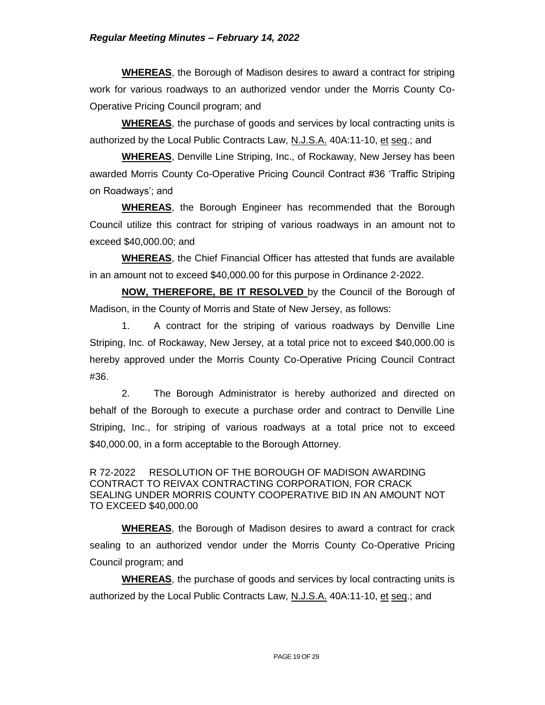**WHEREAS**, the Borough of Madison desires to award a contract for striping work for various roadways to an authorized vendor under the Morris County Co-Operative Pricing Council program; and

**WHEREAS**, the purchase of goods and services by local contracting units is authorized by the Local Public Contracts Law, N.J.S.A. 40A:11-10, et seq.; and

**WHEREAS**, Denville Line Striping, Inc., of Rockaway, New Jersey has been awarded Morris County Co-Operative Pricing Council Contract #36 'Traffic Striping on Roadways'; and

**WHEREAS**, the Borough Engineer has recommended that the Borough Council utilize this contract for striping of various roadways in an amount not to exceed \$40,000.00; and

**WHEREAS**, the Chief Financial Officer has attested that funds are available in an amount not to exceed \$40,000.00 for this purpose in Ordinance 2-2022.

**NOW, THEREFORE, BE IT RESOLVED** by the Council of the Borough of Madison, in the County of Morris and State of New Jersey, as follows:

1. A contract for the striping of various roadways by Denville Line Striping, Inc. of Rockaway, New Jersey, at a total price not to exceed \$40,000.00 is hereby approved under the Morris County Co-Operative Pricing Council Contract #36.

2. The Borough Administrator is hereby authorized and directed on behalf of the Borough to execute a purchase order and contract to Denville Line Striping, Inc., for striping of various roadways at a total price not to exceed \$40,000.00, in a form acceptable to the Borough Attorney.

R 72-2022 RESOLUTION OF THE BOROUGH OF MADISON AWARDING CONTRACT TO REIVAX CONTRACTING CORPORATION, FOR CRACK SEALING UNDER MORRIS COUNTY COOPERATIVE BID IN AN AMOUNT NOT TO EXCEED \$40,000.00

**WHEREAS**, the Borough of Madison desires to award a contract for crack sealing to an authorized vendor under the Morris County Co-Operative Pricing Council program; and

**WHEREAS**, the purchase of goods and services by local contracting units is authorized by the Local Public Contracts Law, N.J.S.A. 40A:11-10, et seq.; and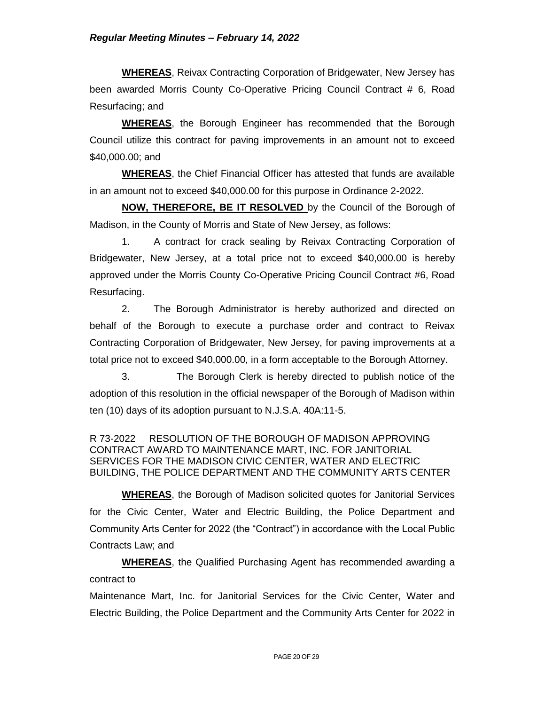**WHEREAS**, Reivax Contracting Corporation of Bridgewater, New Jersey has been awarded Morris County Co-Operative Pricing Council Contract # 6, Road Resurfacing; and

**WHEREAS**, the Borough Engineer has recommended that the Borough Council utilize this contract for paving improvements in an amount not to exceed \$40,000.00; and

**WHEREAS**, the Chief Financial Officer has attested that funds are available in an amount not to exceed \$40,000.00 for this purpose in Ordinance 2-2022.

**NOW, THEREFORE, BE IT RESOLVED** by the Council of the Borough of Madison, in the County of Morris and State of New Jersey, as follows:

1. A contract for crack sealing by Reivax Contracting Corporation of Bridgewater, New Jersey, at a total price not to exceed \$40,000.00 is hereby approved under the Morris County Co-Operative Pricing Council Contract #6, Road Resurfacing.

2. The Borough Administrator is hereby authorized and directed on behalf of the Borough to execute a purchase order and contract to Reivax Contracting Corporation of Bridgewater, New Jersey, for paving improvements at a total price not to exceed \$40,000.00, in a form acceptable to the Borough Attorney.

3. The Borough Clerk is hereby directed to publish notice of the adoption of this resolution in the official newspaper of the Borough of Madison within ten (10) days of its adoption pursuant to N.J.S.A. 40A:11-5.

R 73-2022 RESOLUTION OF THE BOROUGH OF MADISON APPROVING CONTRACT AWARD TO MAINTENANCE MART, INC. FOR JANITORIAL SERVICES FOR THE MADISON CIVIC CENTER, WATER AND ELECTRIC BUILDING, THE POLICE DEPARTMENT AND THE COMMUNITY ARTS CENTER

**WHEREAS**, the Borough of Madison solicited quotes for Janitorial Services for the Civic Center, Water and Electric Building, the Police Department and Community Arts Center for 2022 (the "Contract") in accordance with the Local Public Contracts Law; and

**WHEREAS**, the Qualified Purchasing Agent has recommended awarding a contract to

Maintenance Mart, Inc. for Janitorial Services for the Civic Center, Water and Electric Building, the Police Department and the Community Arts Center for 2022 in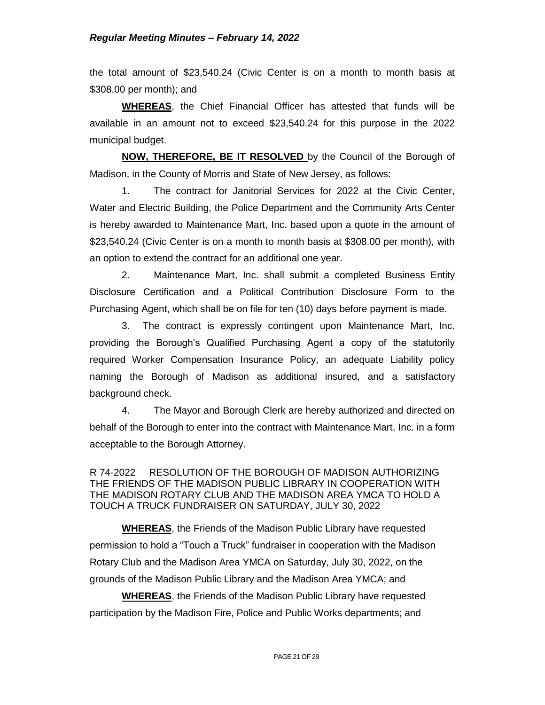the total amount of \$23,540.24 (Civic Center is on a month to month basis at \$308.00 per month); and

**WHEREAS**, the Chief Financial Officer has attested that funds will be available in an amount not to exceed \$23,540.24 for this purpose in the 2022 municipal budget.

**NOW, THEREFORE, BE IT RESOLVED** by the Council of the Borough of Madison, in the County of Morris and State of New Jersey, as follows:

1. The contract for Janitorial Services for 2022 at the Civic Center, Water and Electric Building, the Police Department and the Community Arts Center is hereby awarded to Maintenance Mart, Inc. based upon a quote in the amount of \$23,540.24 (Civic Center is on a month to month basis at \$308.00 per month), with an option to extend the contract for an additional one year.

2. Maintenance Mart, Inc. shall submit a completed Business Entity Disclosure Certification and a Political Contribution Disclosure Form to the Purchasing Agent, which shall be on file for ten (10) days before payment is made.

3. The contract is expressly contingent upon Maintenance Mart, Inc. providing the Borough's Qualified Purchasing Agent a copy of the statutorily required Worker Compensation Insurance Policy, an adequate Liability policy naming the Borough of Madison as additional insured, and a satisfactory background check.

4. The Mayor and Borough Clerk are hereby authorized and directed on behalf of the Borough to enter into the contract with Maintenance Mart, Inc. in a form acceptable to the Borough Attorney.

R 74-2022 RESOLUTION OF THE BOROUGH OF MADISON AUTHORIZING THE FRIENDS OF THE MADISON PUBLIC LIBRARY IN COOPERATION WITH THE MADISON ROTARY CLUB AND THE MADISON AREA YMCA TO HOLD A TOUCH A TRUCK FUNDRAISER ON SATURDAY, JULY 30, 2022

**WHEREAS**, the Friends of the Madison Public Library have requested permission to hold a "Touch a Truck" fundraiser in cooperation with the Madison Rotary Club and the Madison Area YMCA on Saturday, July 30, 2022, on the grounds of the Madison Public Library and the Madison Area YMCA; and

**WHEREAS**, the Friends of the Madison Public Library have requested participation by the Madison Fire, Police and Public Works departments; and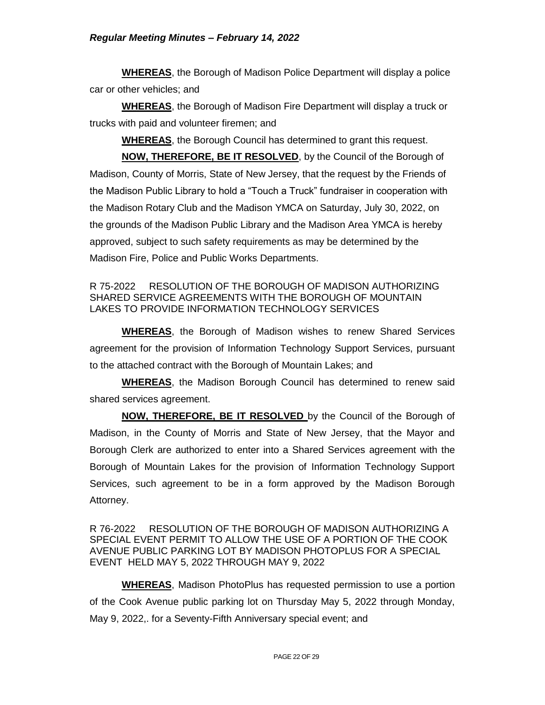**WHEREAS**, the Borough of Madison Police Department will display a police car or other vehicles; and

**WHEREAS**, the Borough of Madison Fire Department will display a truck or trucks with paid and volunteer firemen; and

**WHEREAS**, the Borough Council has determined to grant this request.

**NOW, THEREFORE, BE IT RESOLVED**, by the Council of the Borough of Madison, County of Morris, State of New Jersey, that the request by the Friends of the Madison Public Library to hold a "Touch a Truck" fundraiser in cooperation with the Madison Rotary Club and the Madison YMCA on Saturday, July 30, 2022, on the grounds of the Madison Public Library and the Madison Area YMCA is hereby approved, subject to such safety requirements as may be determined by the Madison Fire, Police and Public Works Departments.

## R 75-2022 RESOLUTION OF THE BOROUGH OF MADISON AUTHORIZING SHARED SERVICE AGREEMENTS WITH THE BOROUGH OF MOUNTAIN LAKES TO PROVIDE INFORMATION TECHNOLOGY SERVICES

**WHEREAS**, the Borough of Madison wishes to renew Shared Services agreement for the provision of Information Technology Support Services, pursuant to the attached contract with the Borough of Mountain Lakes; and

**WHEREAS**, the Madison Borough Council has determined to renew said shared services agreement.

**NOW, THEREFORE, BE IT RESOLVED** by the Council of the Borough of Madison, in the County of Morris and State of New Jersey, that the Mayor and Borough Clerk are authorized to enter into a Shared Services agreement with the Borough of Mountain Lakes for the provision of Information Technology Support Services, such agreement to be in a form approved by the Madison Borough Attorney.

R 76-2022 RESOLUTION OF THE BOROUGH OF MADISON AUTHORIZING A SPECIAL EVENT PERMIT TO ALLOW THE USE OF A PORTION OF THE COOK AVENUE PUBLIC PARKING LOT BY MADISON PHOTOPLUS FOR A SPECIAL EVENT HELD MAY 5, 2022 THROUGH MAY 9, 2022

**WHEREAS**, Madison PhotoPlus has requested permission to use a portion of the Cook Avenue public parking lot on Thursday May 5, 2022 through Monday, May 9, 2022,. for a Seventy-Fifth Anniversary special event; and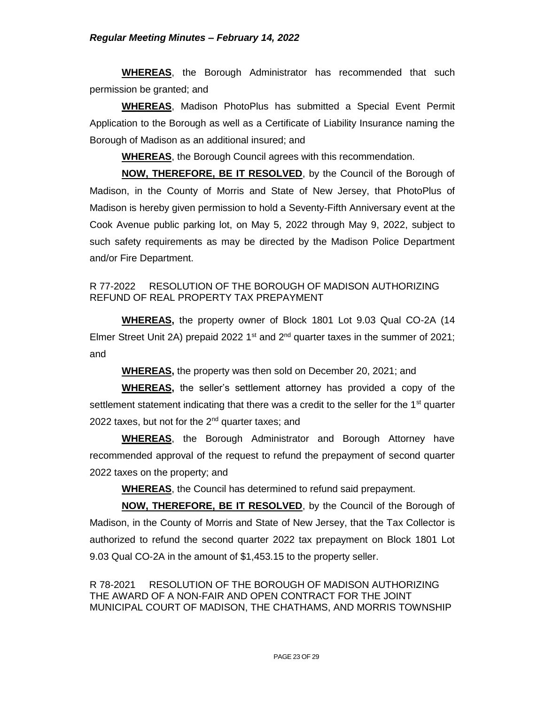**WHEREAS**, the Borough Administrator has recommended that such permission be granted; and

**WHEREAS**, Madison PhotoPlus has submitted a Special Event Permit Application to the Borough as well as a Certificate of Liability Insurance naming the Borough of Madison as an additional insured; and

**WHEREAS**, the Borough Council agrees with this recommendation.

**NOW, THEREFORE, BE IT RESOLVED**, by the Council of the Borough of Madison, in the County of Morris and State of New Jersey, that PhotoPlus of Madison is hereby given permission to hold a Seventy-Fifth Anniversary event at the Cook Avenue public parking lot, on May 5, 2022 through May 9, 2022, subject to such safety requirements as may be directed by the Madison Police Department and/or Fire Department.

# R 77-2022 RESOLUTION OF THE BOROUGH OF MADISON AUTHORIZING REFUND OF REAL PROPERTY TAX PREPAYMENT

**WHEREAS,** the property owner of Block 1801 Lot 9.03 Qual CO-2A (14 Elmer Street Unit 2A) prepaid 2022 1<sup>st</sup> and  $2<sup>nd</sup>$  quarter taxes in the summer of 2021; and

**WHEREAS,** the property was then sold on December 20, 2021; and

**WHEREAS,** the seller's settlement attorney has provided a copy of the settlement statement indicating that there was a credit to the seller for the  $1<sup>st</sup>$  quarter 2022 taxes, but not for the  $2<sup>nd</sup>$  quarter taxes; and

**WHEREAS**, the Borough Administrator and Borough Attorney have recommended approval of the request to refund the prepayment of second quarter 2022 taxes on the property; and

**WHEREAS**, the Council has determined to refund said prepayment.

**NOW, THEREFORE, BE IT RESOLVED**, by the Council of the Borough of Madison, in the County of Morris and State of New Jersey, that the Tax Collector is authorized to refund the second quarter 2022 tax prepayment on Block 1801 Lot 9.03 Qual CO-2A in the amount of \$1,453.15 to the property seller.

R 78-2021 RESOLUTION OF THE BOROUGH OF MADISON AUTHORIZING THE AWARD OF A NON-FAIR AND OPEN CONTRACT FOR THE JOINT MUNICIPAL COURT OF MADISON, THE CHATHAMS, AND MORRIS TOWNSHIP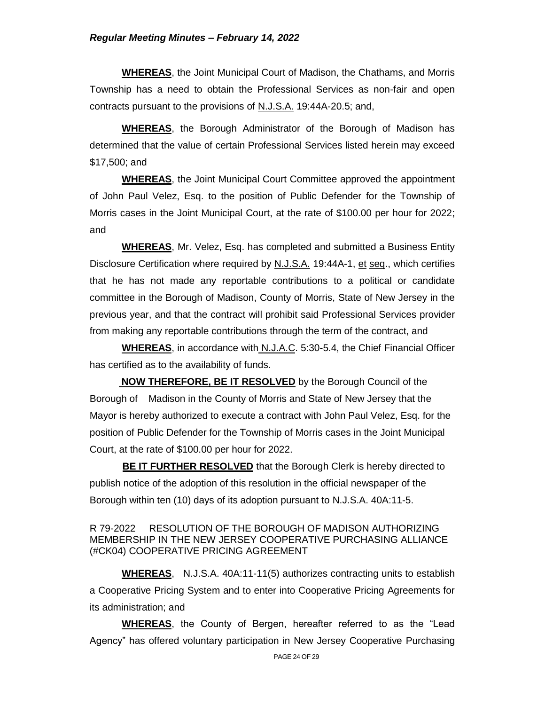#### *Regular Meeting Minutes – February 14, 2022*

**WHEREAS**, the Joint Municipal Court of Madison, the Chathams, and Morris Township has a need to obtain the Professional Services as non-fair and open contracts pursuant to the provisions of N.J.S.A. 19:44A-20.5; and,

 **WHEREAS**, the Borough Administrator of the Borough of Madison has determined that the value of certain Professional Services listed herein may exceed \$17,500; and

**WHEREAS**, the Joint Municipal Court Committee approved the appointment of John Paul Velez, Esq. to the position of Public Defender for the Township of Morris cases in the Joint Municipal Court, at the rate of \$100.00 per hour for 2022; and

**WHEREAS**, Mr. Velez, Esq. has completed and submitted a Business Entity Disclosure Certification where required by N.J.S.A. 19:44A-1, et seq., which certifies that he has not made any reportable contributions to a political or candidate committee in the Borough of Madison, County of Morris, State of New Jersey in the previous year, and that the contract will prohibit said Professional Services provider from making any reportable contributions through the term of the contract, and

**WHEREAS**, in accordance with N.J.A.C. 5:30-5.4, the Chief Financial Officer has certified as to the availability of funds.

 **NOW THEREFORE, BE IT RESOLVED** by the Borough Council of the Borough of Madison in the County of Morris and State of New Jersey that the Mayor is hereby authorized to execute a contract with John Paul Velez, Esq. for the position of Public Defender for the Township of Morris cases in the Joint Municipal Court, at the rate of \$100.00 per hour for 2022.

**BE IT FURTHER RESOLVED** that the Borough Clerk is hereby directed to publish notice of the adoption of this resolution in the official newspaper of the Borough within ten (10) days of its adoption pursuant to N.J.S.A. 40A:11-5.

#### R 79-2022 RESOLUTION OF THE BOROUGH OF MADISON AUTHORIZING MEMBERSHIP IN THE NEW JERSEY COOPERATIVE PURCHASING ALLIANCE (#CK04) COOPERATIVE PRICING AGREEMENT

**WHEREAS**, N.J.S.A. 40A:11-11(5) authorizes contracting units to establish a Cooperative Pricing System and to enter into Cooperative Pricing Agreements for its administration; and

**WHEREAS**, the County of Bergen, hereafter referred to as the "Lead Agency" has offered voluntary participation in New Jersey Cooperative Purchasing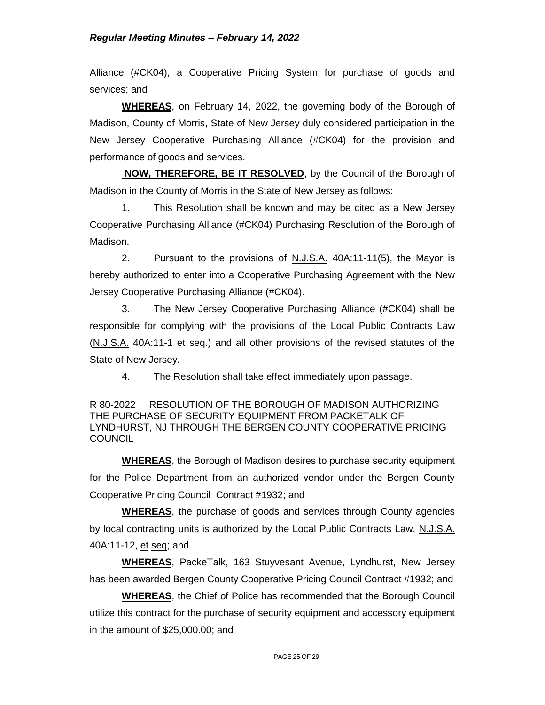Alliance (#CK04), a Cooperative Pricing System for purchase of goods and services; and

**WHEREAS**, on February 14, 2022, the governing body of the Borough of Madison, County of Morris, State of New Jersey duly considered participation in the New Jersey Cooperative Purchasing Alliance (#CK04) for the provision and performance of goods and services.

**NOW, THEREFORE, BE IT RESOLVED**, by the Council of the Borough of Madison in the County of Morris in the State of New Jersey as follows:

1. This Resolution shall be known and may be cited as a New Jersey Cooperative Purchasing Alliance (#CK04) Purchasing Resolution of the Borough of Madison.

2. Pursuant to the provisions of N.J.S.A. 40A:11-11(5), the Mayor is hereby authorized to enter into a Cooperative Purchasing Agreement with the New Jersey Cooperative Purchasing Alliance (#CK04).

3. The New Jersey Cooperative Purchasing Alliance (#CK04) shall be responsible for complying with the provisions of the Local Public Contracts Law (N.J.S.A. 40A:11-1 et seq.) and all other provisions of the revised statutes of the State of New Jersey.

4. The Resolution shall take effect immediately upon passage.

R 80-2022 RESOLUTION OF THE BOROUGH OF MADISON AUTHORIZING THE PURCHASE OF SECURITY EQUIPMENT FROM PACKETALK OF LYNDHURST, NJ THROUGH THE BERGEN COUNTY COOPERATIVE PRICING **COUNCIL** 

**WHEREAS**, the Borough of Madison desires to purchase security equipment for the Police Department from an authorized vendor under the Bergen County Cooperative Pricing Council Contract #1932; and

**WHEREAS**, the purchase of goods and services through County agencies by local contracting units is authorized by the Local Public Contracts Law, N.J.S.A. 40A:11-12, et seq; and

**WHEREAS**, PackeTalk, 163 Stuyvesant Avenue, Lyndhurst, New Jersey has been awarded Bergen County Cooperative Pricing Council Contract #1932; and

**WHEREAS**, the Chief of Police has recommended that the Borough Council utilize this contract for the purchase of security equipment and accessory equipment in the amount of \$25,000.00; and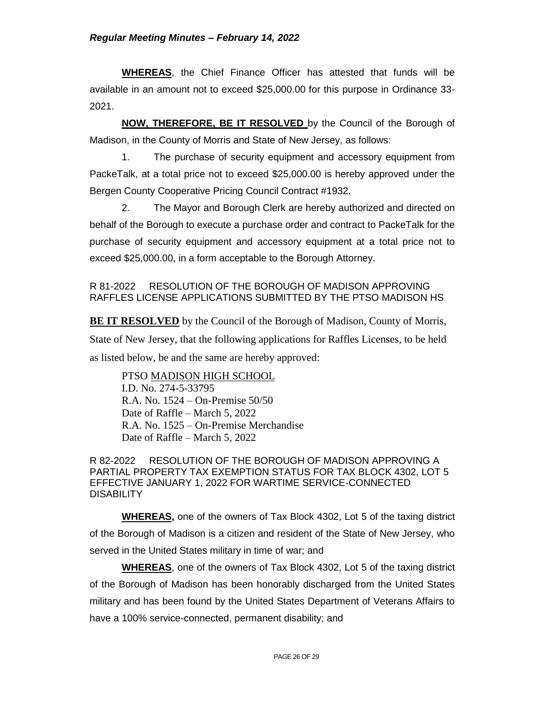## *Regular Meeting Minutes – February 14, 2022*

**WHEREAS**, the Chief Finance Officer has attested that funds will be available in an amount not to exceed \$25,000.00 for this purpose in Ordinance 33- 2021.

**NOW, THEREFORE, BE IT RESOLVED** by the Council of the Borough of Madison, in the County of Morris and State of New Jersey, as follows:

1. The purchase of security equipment and accessory equipment from PackeTalk, at a total price not to exceed \$25,000.00 is hereby approved under the Bergen County Cooperative Pricing Council Contract #1932.

2. The Mayor and Borough Clerk are hereby authorized and directed on behalf of the Borough to execute a purchase order and contract to PackeTalk for the purchase of security equipment and accessory equipment at a total price not to exceed \$25,000.00, in a form acceptable to the Borough Attorney.

R 81-2022 RESOLUTION OF THE BOROUGH OF MADISON APPROVING RAFFLES LICENSE APPLICATIONS SUBMITTED BY THE PTSO MADISON HS

**BE IT RESOLVED** by the Council of the Borough of Madison, County of Morris, State of New Jersey, that the following applications for Raffles Licenses, to be held as listed below, be and the same are hereby approved:

PTSO MADISON HIGH SCHOOL I.D. No. 274-5-33795 R.A. No. 1524 – On-Premise 50/50 Date of Raffle – March 5, 2022 R.A. No. 1525 – On-Premise Merchandise Date of Raffle – March 5, 2022

R 82-2022 RESOLUTION OF THE BOROUGH OF MADISON APPROVING A PARTIAL PROPERTY TAX EXEMPTION STATUS FOR TAX BLOCK 4302, LOT 5 EFFECTIVE JANUARY 1, 2022 FOR WARTIME SERVICE-CONNECTED **DISABILITY** 

**WHEREAS,** one of the owners of Tax Block 4302, Lot 5 of the taxing district of the Borough of Madison is a citizen and resident of the State of New Jersey, who served in the United States military in time of war; and

**WHEREAS**, one of the owners of Tax Block 4302, Lot 5 of the taxing district of the Borough of Madison has been honorably discharged from the United States military and has been found by the United States Department of Veterans Affairs to have a 100% service-connected, permanent disability; and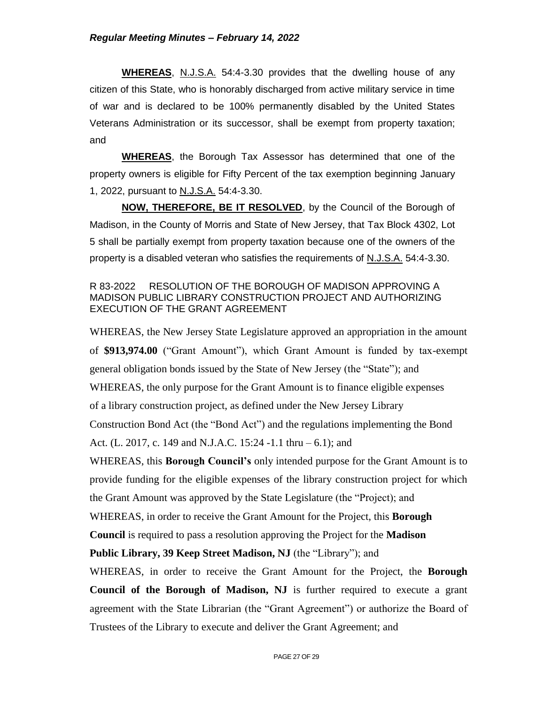**WHEREAS**, N.J.S.A. 54:4-3.30 provides that the dwelling house of any citizen of this State, who is honorably discharged from active military service in time of war and is declared to be 100% permanently disabled by the United States Veterans Administration or its successor, shall be exempt from property taxation; and

**WHEREAS**, the Borough Tax Assessor has determined that one of the property owners is eligible for Fifty Percent of the tax exemption beginning January 1, 2022, pursuant to N.J.S.A. 54:4-3.30.

**NOW, THEREFORE, BE IT RESOLVED**, by the Council of the Borough of Madison, in the County of Morris and State of New Jersey, that Tax Block 4302, Lot 5 shall be partially exempt from property taxation because one of the owners of the property is a disabled veteran who satisfies the requirements of N.J.S.A. 54:4-3.30.

### R 83-2022 RESOLUTION OF THE BOROUGH OF MADISON APPROVING A MADISON PUBLIC LIBRARY CONSTRUCTION PROJECT AND AUTHORIZING EXECUTION OF THE GRANT AGREEMENT

WHEREAS, the New Jersey State Legislature approved an appropriation in the amount of **\$913,974.00** ("Grant Amount"), which Grant Amount is funded by tax-exempt general obligation bonds issued by the State of New Jersey (the "State"); and WHEREAS, the only purpose for the Grant Amount is to finance eligible expenses of a library construction project, as defined under the New Jersey Library Construction Bond Act (the "Bond Act") and the regulations implementing the Bond Act. (L. 2017, c. 149 and N.J.A.C. 15:24 -1.1 thru – 6.1); and

WHEREAS, this **Borough Council's** only intended purpose for the Grant Amount is to provide funding for the eligible expenses of the library construction project for which the Grant Amount was approved by the State Legislature (the "Project); and

WHEREAS, in order to receive the Grant Amount for the Project, this **Borough** 

**Council** is required to pass a resolution approving the Project for the **Madison** 

**Public Library, 39 Keep Street Madison, NJ** (the "Library"); and

WHEREAS, in order to receive the Grant Amount for the Project, the **Borough Council of the Borough of Madison, NJ** is further required to execute a grant agreement with the State Librarian (the "Grant Agreement") or authorize the Board of Trustees of the Library to execute and deliver the Grant Agreement; and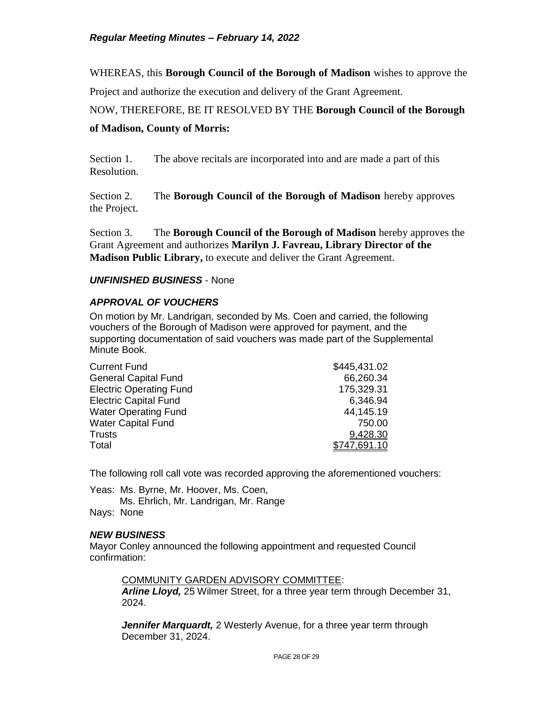WHEREAS, this **Borough Council of the Borough of Madison** wishes to approve the

Project and authorize the execution and delivery of the Grant Agreement.

# NOW, THEREFORE, BE IT RESOLVED BY THE **Borough Council of the Borough**

## **of Madison, County of Morris:**

Section 1. The above recitals are incorporated into and are made a part of this Resolution.

Section 2. The **Borough Council of the Borough of Madison** hereby approves the Project.

Section 3. The **Borough Council of the Borough of Madison** hereby approves the Grant Agreement and authorizes **Marilyn J. Favreau, Library Director of the Madison Public Library,** to execute and deliver the Grant Agreement.

#### *UNFINISHED BUSINESS* - None

## *APPROVAL OF VOUCHERS*

On motion by Mr. Landrigan, seconded by Ms. Coen and carried, the following vouchers of the Borough of Madison were approved for payment, and the supporting documentation of said vouchers was made part of the Supplemental Minute Book.

| <b>Current Fund</b>            | \$445,431.02 |
|--------------------------------|--------------|
| <b>General Capital Fund</b>    | 66,260.34    |
| <b>Electric Operating Fund</b> | 175,329.31   |
| <b>Electric Capital Fund</b>   | 6,346.94     |
| <b>Water Operating Fund</b>    | 44,145.19    |
| <b>Water Capital Fund</b>      | 750.00       |
| <b>Trusts</b>                  | 9,428.30     |
| Total                          | \$747.691.10 |

The following roll call vote was recorded approving the aforementioned vouchers:

Yeas: Ms. Byrne, Mr. Hoover, Ms. Coen, Ms. Ehrlich, Mr. Landrigan, Mr. Range Nays: None

## *NEW BUSINESS*

Mayor Conley announced the following appointment and requested Council confirmation:

COMMUNITY GARDEN ADVISORY COMMITTEE:

*Arline Lloyd,* 25 Wilmer Street, for a three year term through December 31, 2024.

*Jennifer Marquardt,* 2 Westerly Avenue, for a three year term through December 31, 2024.